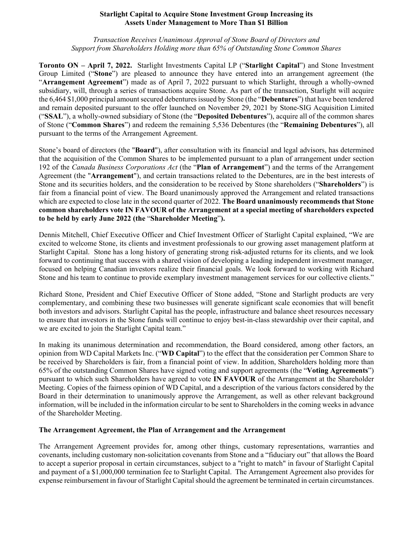#### **Starlight Capital to Acquire Stone Investment Group Increasing its Assets Under Management to More Than \$1 Billion**

*Transaction Receives Unanimous Approval of Stone Board of Directors and Support from Shareholders Holding more than 65% of Outstanding Stone Common Shares*

**Toronto ON – April 7, 2022.** Starlight Investments Capital LP ("**Starlight Capital**") and Stone Investment Group Limited ("**Stone**") are pleased to announce they have entered into an arrangement agreement (the "**Arrangement Agreement**") made as of April 7, 2022 pursuant to which Starlight, through a wholly-owned subsidiary, will, through a series of transactions acquire Stone. As part of the transaction, Starlight will acquire the 6,464 \$1,000 principal amount secured debentures issued by Stone (the "**Debentures**") that have been tendered and remain deposited pursuant to the offer launched on November 29, 2021 by Stone-SIG Acquisition Limited ("**SSAL**"), a wholly-owned subsidiary of Stone (the "**Deposited Debentures**"), acquire all of the common shares of Stone ("**Common Shares**") and redeem the remaining 5,536 Debentures (the "**Remaining Debentures**"), all pursuant to the terms of the Arrangement Agreement.

Stone's board of directors (the "**Board**"), after consultation with its financial and legal advisors, has determined that the acquisition of the Common Shares to be implemented pursuant to a plan of arrangement under section 192 of the *Canada Business Corporations Act* (the "**Plan of Arrangement**") and the terms of the Arrangement Agreement (the "**Arrangement**"), and certain transactions related to the Debentures, are in the best interests of Stone and its securities holders, and the consideration to be received by Stone shareholders ("**Shareholders**") is fair from a financial point of view. The Board unanimously approved the Arrangement and related transactions which are expected to close late in the second quarter of 2022. **The Board unanimously recommends that Stone common shareholders vote IN FAVOUR of the Arrangement at a special meeting of shareholders expected to be held by early June 2022 (the** "**Shareholder Meeting**"**).**

Dennis Mitchell, Chief Executive Officer and Chief Investment Officer of Starlight Capital explained, "We are excited to welcome Stone, its clients and investment professionals to our growing asset management platform at Starlight Capital. Stone has a long history of generating strong risk-adjusted returns for its clients, and we look forward to continuing that success with a shared vision of developing a leading independent investment manager, focused on helping Canadian investors realize their financial goals. We look forward to working with Richard Stone and his team to continue to provide exemplary investment management services for our collective clients."

Richard Stone, President and Chief Executive Officer of Stone added, "Stone and Starlight products are very complementary, and combining these two businesses will generate significant scale economies that will benefit both investors and advisors. Starlight Capital has the people, infrastructure and balance sheet resources necessary to ensure that investors in the Stone funds will continue to enjoy best-in-class stewardship over their capital, and we are excited to join the Starlight Capital team."

In making its unanimous determination and recommendation, the Board considered, among other factors, an opinion from WD Capital Markets Inc. ("**WD Capital**") to the effect that the consideration per Common Share to be received by Shareholders is fair, from a financial point of view. In addition, Shareholders holding more than 65% of the outstanding Common Shares have signed voting and support agreements (the "**Voting Agreements**") pursuant to which such Shareholders have agreed to vote **IN FAVOUR** of the Arrangement at the Shareholder Meeting. Copies of the fairness opinion of WD Capital, and a description of the various factors considered by the Board in their determination to unanimously approve the Arrangement, as well as other relevant background information, will be included in the information circular to be sent to Shareholders in the coming weeks in advance of the Shareholder Meeting.

## **The Arrangement Agreement, the Plan of Arrangement and the Arrangement**

The Arrangement Agreement provides for, among other things, customary representations, warranties and covenants, including customary non-solicitation covenants from Stone and a "fiduciary out" that allows the Board to accept a superior proposal in certain circumstances, subject to a "right to match" in favour of Starlight Capital and payment of a \$1,000,000 termination fee to Starlight Capital. The Arrangement Agreement also provides for expense reimbursement in favour of Starlight Capital should the agreement be terminated in certain circumstances.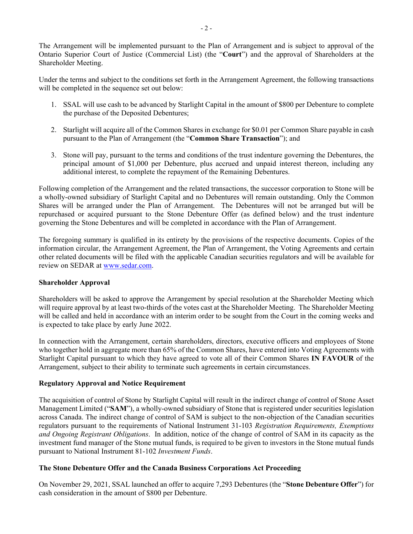The Arrangement will be implemented pursuant to the Plan of Arrangement and is subject to approval of the Ontario Superior Court of Justice (Commercial List) (the "**Court**") and the approval of Shareholders at the Shareholder Meeting.

Under the terms and subject to the conditions set forth in the Arrangement Agreement, the following transactions will be completed in the sequence set out below:

- 1. SSAL will use cash to be advanced by Starlight Capital in the amount of \$800 per Debenture to complete the purchase of the Deposited Debentures;
- 2. Starlight will acquire all of the Common Shares in exchange for \$0.01 per Common Share payable in cash pursuant to the Plan of Arrangement (the "**Common Share Transaction**"); and
- 3. Stone will pay, pursuant to the terms and conditions of the trust indenture governing the Debentures, the principal amount of \$1,000 per Debenture, plus accrued and unpaid interest thereon, including any additional interest, to complete the repayment of the Remaining Debentures.

Following completion of the Arrangement and the related transactions, the successor corporation to Stone will be a wholly-owned subsidiary of Starlight Capital and no Debentures will remain outstanding. Only the Common Shares will be arranged under the Plan of Arrangement. The Debentures will not be arranged but will be repurchased or acquired pursuant to the Stone Debenture Offer (as defined below) and the trust indenture governing the Stone Debentures and will be completed in accordance with the Plan of Arrangement.

The foregoing summary is qualified in its entirety by the provisions of the respective documents. Copies of the information circular, the Arrangement Agreement, the Plan of Arrangement, the Voting Agreements and certain other related documents will be filed with the applicable Canadian securities regulators and will be available for review on SEDAR at [www.sedar.com.](http://www.sedar.com/)

## **Shareholder Approval**

Shareholders will be asked to approve the Arrangement by special resolution at the Shareholder Meeting which will require approval by at least two-thirds of the votes cast at the Shareholder Meeting. The Shareholder Meeting will be called and held in accordance with an interim order to be sought from the Court in the coming weeks and is expected to take place by early June 2022.

In connection with the Arrangement, certain shareholders, directors, executive officers and employees of Stone who together hold in aggregate more than 65% of the Common Shares, have entered into Voting Agreements with Starlight Capital pursuant to which they have agreed to vote all of their Common Shares **IN FAVOUR** of the Arrangement, subject to their ability to terminate such agreements in certain circumstances.

## **Regulatory Approval and Notice Requirement**

The acquisition of control of Stone by Starlight Capital will result in the indirect change of control of Stone Asset Management Limited ("**SAM**"), a wholly-owned subsidiary of Stone that is registered under securities legislation across Canada. The indirect change of control of SAM is subject to the non-objection of the Canadian securities regulators pursuant to the requirements of National Instrument 31-103 *Registration Requirements, Exemptions and Ongoing Registrant Obligations*. In addition, notice of the change of control of SAM in its capacity as the investment fund manager of the Stone mutual funds, is required to be given to investors in the Stone mutual funds pursuant to National Instrument 81-102 *Investment Funds*.

## **The Stone Debenture Offer and the Canada Business Corporations Act Proceeding**

On November 29, 2021, SSAL launched an offer to acquire 7,293 Debentures (the "**Stone Debenture Offer**") for cash consideration in the amount of \$800 per Debenture.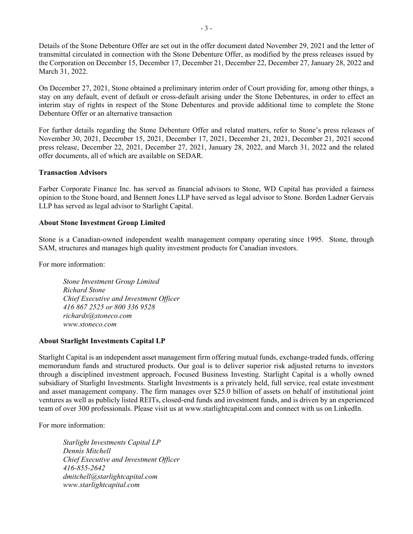Details of the Stone Debenture Offer are set out in the offer document dated November 29, 2021 and the letter of transmittal circulated in connection with the Stone Debenture Offer, as modified by the press releases issued by the Corporation on December 15, December 17, December 21, December 22, December 27, January 28, 2022 and March 31, 2022.

On December 27, 2021, Stone obtained a preliminary interim order of Court providing for, among other things, a stay on any default, event of default or cross-default arising under the Stone Debentures, in order to effect an interim stay of rights in respect of the Stone Debentures and provide additional time to complete the Stone Debenture Offer or an alternative transaction

For further details regarding the Stone Debenture Offer and related matters, refer to Stone's press releases of November 30, 2021, December 15, 2021, December 17, 2021, December 21, 2021, December 21, 2021 second press release, December 22, 2021, December 27, 2021, January 28, 2022, and March 31, 2022 and the related offer documents, all of which are available on SEDAR.

## **Transaction Advisors**

Farber Corporate Finance Inc. has served as financial advisors to Stone, WD Capital has provided a fairness opinion to the Stone board, and Bennett Jones LLP have served as legal advisor to Stone. Borden Ladner Gervais LLP has served as legal advisor to Starlight Capital.

## **About Stone Investment Group Limited**

Stone is a Canadian-owned independent wealth management company operating since 1995. Stone, through SAM, structures and manages high quality investment products for Canadian investors.

For more information:

*Stone Investment Group Limited Richard Stone Chief Executive and Investment Officer 416 867 2525 or 800 336 9528 richards@stoneco.com www.stoneco.com*

# **About Starlight Investments Capital LP**

Starlight Capital is an independent asset management firm offering mutual funds, exchange-traded funds, offering memorandum funds and structured products. Our goal is to deliver superior risk adjusted returns to investors through a disciplined investment approach, Focused Business Investing. Starlight Capital is a wholly owned subsidiary of Starlight Investments. Starlight Investments is a privately held, full service, real estate investment and asset management company. The firm manages over \$25.0 billion of assets on behalf of institutional joint ventures as well as publicly listed REITs, closed-end funds and investment funds, and is driven by an experienced team of over 300 professionals. Please visit us at www.starlightcapital.com and connect with us on LinkedIn.

For more information:

*Starlight Investments Capital LP Dennis Mitchell Chief Executive and Investment Officer 416-855-2642 dmitchell@starlightcapital.com www.starlightcapital.com*